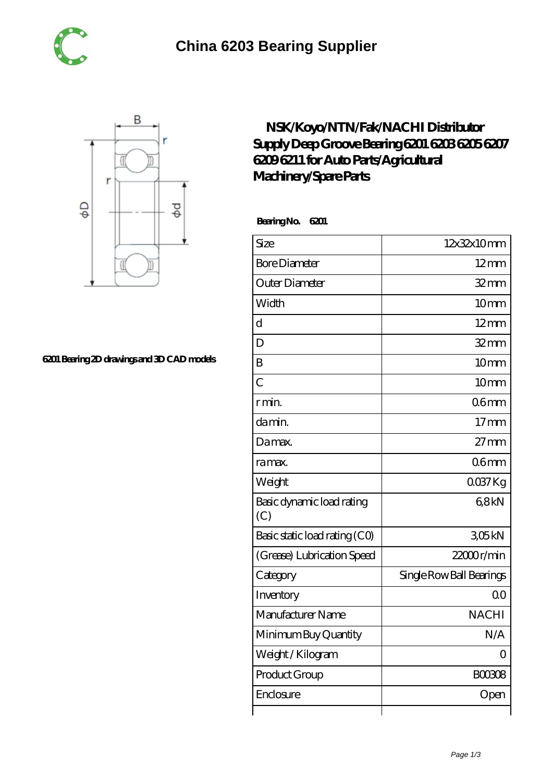



## **[6201 Bearing 2D drawings and 3D CAD models](https://m.tuto-webmaster.com/pic-593972.html)**

## **[NSK/Koyo/NTN/Fak/NACHI Distributor](https://m.tuto-webmaster.com/6203-bearing/593972.html) [Supply Deep Groove Bearing 6201 6203 6205 6207](https://m.tuto-webmaster.com/6203-bearing/593972.html) [6209 6211 for Auto Parts/Agricultural](https://m.tuto-webmaster.com/6203-bearing/593972.html) [Machinery/Spare Parts](https://m.tuto-webmaster.com/6203-bearing/593972.html)**

 **Bearing No. 6201**

| Size                             | 12x32x10mm               |
|----------------------------------|--------------------------|
|                                  |                          |
| <b>Bore Diameter</b>             | $12 \text{mm}$           |
| Outer Diameter                   | $32$ mm                  |
| Width                            | 10mm                     |
| $\overline{d}$                   | $12 \text{mm}$           |
| D                                | $32$ mm                  |
| B                                | 10mm                     |
| $\overline{C}$                   | 10mm                     |
| r min.                           | 06 <sub>mm</sub>         |
| damin.                           | $17$ mm                  |
| Da max.                          | $27 \text{mm}$           |
| ra max.                          | 06 <sub>mm</sub>         |
| Weight                           | $0037$ Kg                |
| Basic dynamic load rating<br>(C) | 68kN                     |
| Basic static load rating (CO)    | 305kN                    |
| (Grease) Lubrication Speed       | 22000r/min               |
| Category                         | Single Row Ball Bearings |
| Inventory                        | Q <sub>O</sub>           |
| Manufacturer Name                | <b>NACHI</b>             |
| Minimum Buy Quantity             | N/A                      |
| Weight / Kilogram                | Ω                        |
| Product Group                    | <b>BOO308</b>            |
| Enclosure                        | Open                     |
|                                  |                          |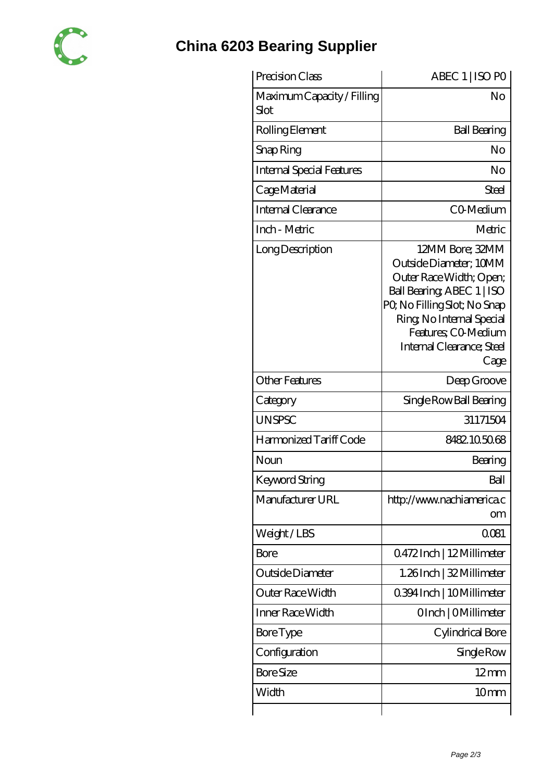

## **[China 6203 Bearing Supplier](https://m.tuto-webmaster.com)**

| Precision Class                    | ABEC 1   ISO PO                                                                                                                                                                                                            |
|------------------------------------|----------------------------------------------------------------------------------------------------------------------------------------------------------------------------------------------------------------------------|
| Maximum Capacity / Filling<br>Slot | No                                                                                                                                                                                                                         |
| Rolling Element                    | <b>Ball Bearing</b>                                                                                                                                                                                                        |
| Snap Ring                          | No                                                                                                                                                                                                                         |
| Internal Special Features          | No                                                                                                                                                                                                                         |
| Cage Material                      | Steel                                                                                                                                                                                                                      |
| Internal Clearance                 | CO-Medium                                                                                                                                                                                                                  |
| Inch - Metric                      | Metric                                                                                                                                                                                                                     |
| Long Description                   | 12MM Bore; 32MM<br>Outside Diameter; 10MM<br>Outer Race Width; Open;<br>Ball Bearing, ABEC 1   ISO<br>PQ No Filling Slot; No Snap<br>Ring, No Internal Special<br>Features: CO-Medium<br>Internal Clearance; Steel<br>Cage |
| <b>Other Features</b>              | Deep Groove                                                                                                                                                                                                                |
| Category                           | Single Row Ball Bearing                                                                                                                                                                                                    |
| <b>UNSPSC</b>                      | 31171504                                                                                                                                                                                                                   |
| Harmonized Tariff Code             | 8482.105068                                                                                                                                                                                                                |
| Noun                               | Bearing                                                                                                                                                                                                                    |
| Keyword String                     | Ball                                                                                                                                                                                                                       |
| Manufacturer URL                   | http://www.nachiamerica.c<br>om                                                                                                                                                                                            |
| Weight/LBS                         | 0081                                                                                                                                                                                                                       |
| Bore                               | Q472Inch   12Millimeter                                                                                                                                                                                                    |
| Outside Diameter                   | 1.26Inch   32 Millimeter                                                                                                                                                                                                   |
| Outer Race Width                   | 0394Inch   10Millimeter                                                                                                                                                                                                    |
| Inner Race Width                   | OInch   OMillimeter                                                                                                                                                                                                        |
| Bore Type                          | Cylindrical Bore                                                                                                                                                                                                           |
| Configuration                      | Single Row                                                                                                                                                                                                                 |
| <b>Bore Size</b>                   | $12 \,\mathrm{mm}$                                                                                                                                                                                                         |
| Width                              | 10mm                                                                                                                                                                                                                       |
|                                    |                                                                                                                                                                                                                            |